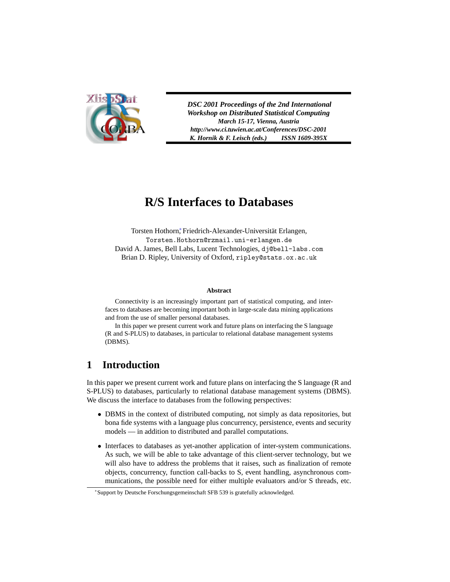

*DSC 2001 Proceedings of the 2nd International Workshop on Distributed Statistical Computing March 15-17, Vienna, Austria http://www.ci.tuwien.ac.at/Conferences/DSC-2001 K. Hornik & F. Leisch (eds.) ISSN 1609-395X*

# **R/S Interfaces to Databases**

Torsten Hothorn, Friedrich-Alexander-Universität Erlangen, Torsten.Hothorn@rzmail.uni-erlangen.de David A. James, Bell Labs, Lucent Technologies, dj@bell-labs.com Brian D. Ripley, University of Oxford, ripley@stats.ox.ac.uk

#### **Abstract**

Connectivity is an increasingly important part of statistical computing, and interfaces to databases are becoming important both in large-scale data mining applications and from the use of smaller personal databases.

In this paper we present current work and future plans on interfacing the S language (R and S-PLUS) to databases, in particular to relational database management systems (DBMS).

## **1 Introduction**

In this paper we present current work and future plans on interfacing the S language (R and S-PLUS) to databases, particularly to relational database management systems (DBMS). We discuss the interface to databases from the following perspectives:

- DBMS in the context of distributed computing, not simply as data repositories, but bona fide systems with a language plus concurrency, persistence, events and security models — in addition to distributed and parallel computations.
- Interfaces to databases as yet-another application of inter-system communications. As such, we will be able to take advantage of this client-server technology, but we will also have to address the problems that it raises, such as finalization of remote objects, concurrency, function call-backs to S, event handling, asynchronous communications, the possible need for either multiple evaluators and/or S threads, etc.

<sup>∗</sup>Support by Deutsche Forschungsgemeinschaft SFB 539 is gratefully acknowledged.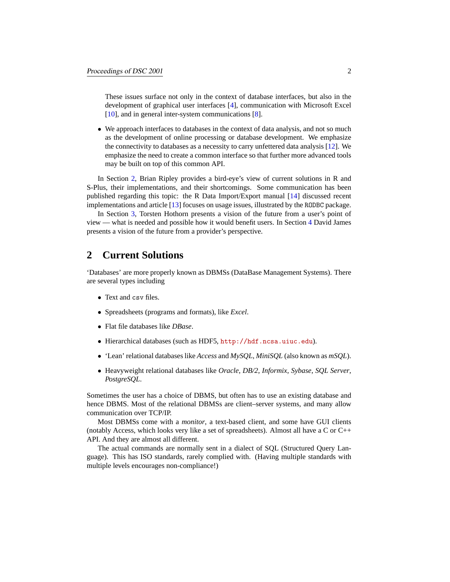These issues surface not only in the context of database interfaces, but also in the development of graphical user interfaces [\[4](#page-17-0)], communication with Microsoft Excel [\[10](#page-17-1)], and in general inter-system communications [[8\]](#page-17-2).

• We approach interfaces to databases in the context of data analysis, and not so much as the development of online processing or database development. We emphasize the connectivity to databases as a necessity to carry unfettered data analysis [\[12](#page-17-3)]. We emphasize the need to create a common interface so that further more advanced tools may be built on top of this common API.

In Section [2,](#page-1-0) Brian Ripley provides a bird-eye's view of current solutions in R and S-Plus, their implementations, and their shortcomings. Some communication has been published regarding this topic: the R Data Import/Export manual [[14\]](#page-17-4) discussed recent implementations and article [\[13](#page-17-5)] focuses on usage issues, illustrated by the RODBC package.

In Section [3](#page-5-0), Torsten Hothorn presents a vision of the future from a user's point of view — what is needed and possible how it would benefit users. In Section [4](#page-9-0) David James presents a vision of the future from a provider's perspective.

## <span id="page-1-0"></span>**2 Current Solutions**

'Databases' are more properly known as DBMSs (DataBase Management Systems). There are several types including

- Text and csy files.
- Spreadsheets (programs and formats), like *Excel*.
- Flat file databases like *DBase*.
- Hierarchical databases (such as HDF5, <http://hdf.ncsa.uiuc.edu>).
- 'Lean' relational databases like *Access* and *MySQL*, *MiniSQL* (also known as *mSQL*).
- Heavyweight relational databases like *Oracle*, *DB/2*, *Informix*, *Sybase*, *SQL Server*, *PostgreSQL*.

Sometimes the user has a choice of DBMS, but often has to use an existing database and hence DBMS. Most of the relational DBMSs are client–server systems, and many allow communication over TCP/IP.

Most DBMSs come with a *monitor*, a text-based client, and some have GUI clients (notably Access, which looks very like a set of spreadsheets). Almost all have a  $C$  or  $C_{++}$ API. And they are almost all different.

The actual commands are normally sent in a dialect of SQL (Structured Query Language). This has ISO standards, rarely complied with. (Having multiple standards with multiple levels encourages non-compliance!)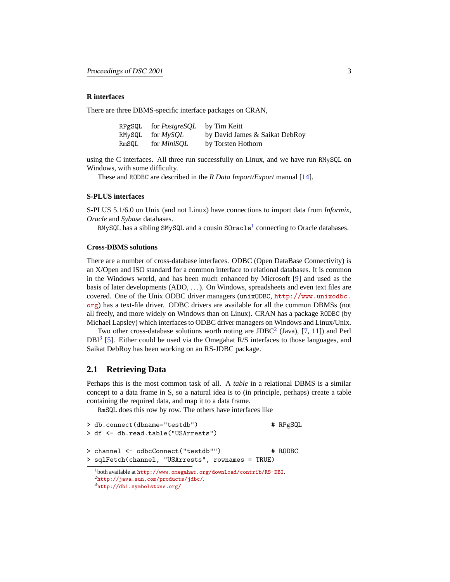#### **R interfaces**

There are three DBMS-specific interface packages on CRAN,

| RPgSQL | for <i>PostgreSQL</i> | by Tim Keitt                   |
|--------|-----------------------|--------------------------------|
|        | RMySQL for $MvSOL$    | by David James & Saikat DebRoy |
| RmSQL  | for <i>MiniSOL</i>    | by Torsten Hothorn             |

using the C interfaces. All three run successfully on Linux, and we have run RMySQL on Windows, with some difficulty.

These and RODBC are described in the *R Data Import/Export* manual [[14\]](#page-17-4).

#### **S-PLUS interfaces**

S-PLUS 5.1/6.0 on Unix (and not Linux) have connections to import data from *Informix*, *Oracle* and *Sybase* databases.

 $\mathtt{R}$ MySQL has a sibling SMySQL and a cousin S0 $\mathtt{r}$ acle $^1$  $^1$  connecting to Oracle databases.

#### **Cross-DBMS solutions**

There are a number of cross-database interfaces. ODBC (Open DataBase Connectivity) is an X/Open and ISO standard for a common interface to relational databases. It is common in the Windows world, and has been much enhanced by Microsoft [[9\]](#page-17-6) and used as the basis of later developments (ADO, . . . ). On Windows, spreadsheets and even text files are covered. One of the Unix ODBC driver managers (unixODBC, [http://www.unixodbc.](http://www.unixodbc.org) [org](http://www.unixodbc.org)) has a text-file driver. ODBC drivers are available for all the common DBMSs (not all freely, and more widely on Windows than on Linux). CRAN has a package RODBC (by Michael Lapsley) which interfaces to ODBC driver managers on Windows and Linux/Unix.

Two other cross-database solutions worth noting are JDBC<sup>[2](#page-2-1)</sup> (Java), [[7,](#page-17-7) [11](#page-17-8)]) and Perl  $DBI<sup>3</sup>$  $DBI<sup>3</sup>$  $DBI<sup>3</sup>$  [[5\]](#page-17-9). Either could be used via the Omegahat R/S interfaces to those languages, and Saikat DebRoy has been working on an RS-JDBC package.

## **2.1 Retrieving Data**

Perhaps this is the most common task of all. A *table* in a relational DBMS is a similar concept to a data frame in S, so a natural idea is to (in principle, perhaps) create a table containing the required data, and map it to a data frame.

RmSQL does this row by row. The others have interfaces like

| > db.connect(dbname="testdb")<br>> df <- db.read.table("USArrests") | # RPgSQL |
|---------------------------------------------------------------------|----------|
| > channel <- odbcConnect("testdb"")                                 | # RODBC  |
| > sqlFetch(channel, "USArrests", rownames = TRUE)                   |          |
| $\frac{1}{2}$ both evailable at http:// $\frac{1}{2}$               |          |

<span id="page-2-2"></span><span id="page-2-1"></span><span id="page-2-0"></span><sup>1</sup>both available at <http://www.omegahat.org/download/contrib/RS-DBI>. <sup>2</sup><http://java.sun.com/products/jdbc/>. <sup>3</sup><http://dbi.symbolstone.org/>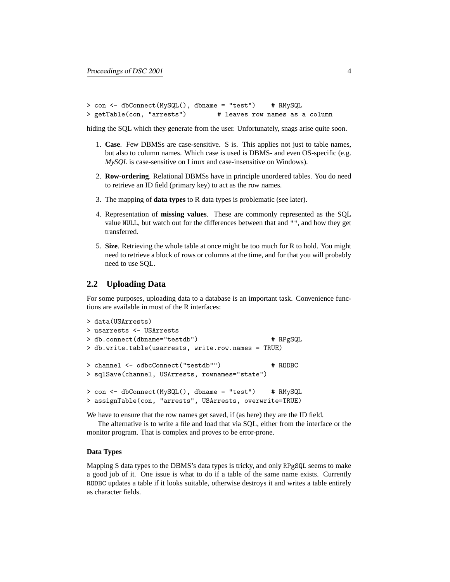```
> con <- dbConnect(MySQL(), dbname = "test") # RMySQL
> getTable(con, "arrests") # leaves row names as a column
```
hiding the SQL which they generate from the user. Unfortunately, snags arise quite soon.

- 1. **Case**. Few DBMSs are case-sensitive. S is. This applies not just to table names, but also to column names. Which case is used is DBMS- and even OS-specific (e.g. *MySQL* is case-sensitive on Linux and case-insensitive on Windows).
- 2. **Row-ordering**. Relational DBMSs have in principle unordered tables. You do need to retrieve an ID field (primary key) to act as the row names.
- 3. The mapping of **data types** to R data types is problematic (see later).
- 4. Representation of **missing values**. These are commonly represented as the SQL value NULL, but watch out for the differences between that and "", and how they get transferred.
- 5. **Size**. Retrieving the whole table at once might be too much for R to hold. You might need to retrieve a block of rows or columns at the time, and for that you will probably need to use SQL.

## **2.2 Uploading Data**

For some purposes, uploading data to a database is an important task. Convenience functions are available in most of the R interfaces:

```
> data(USArrests)
> usarrests <- USArrests
> db.connect(dbname="testdb") # RPgSQL
> db.write.table(usarrests, write.row.names = TRUE)
> channel <- odbcConnect("testdb"") # RODBC
> sqlSave(channel, USArrests, rownames="state")
> con <- dbConnect(MySQL(), dbname = "test") # RMySQL
> assignTable(con, "arrests", USArrests, overwrite=TRUE)
```
We have to ensure that the row names get saved, if (as here) they are the ID field.

The alternative is to write a file and load that via SQL, either from the interface or the monitor program. That is complex and proves to be error-prone.

### **Data Types**

Mapping S data types to the DBMS's data types is tricky, and only RPgSQL seems to make a good job of it. One issue is what to do if a table of the same name exists. Currently RODBC updates a table if it looks suitable, otherwise destroys it and writes a table entirely as character fields.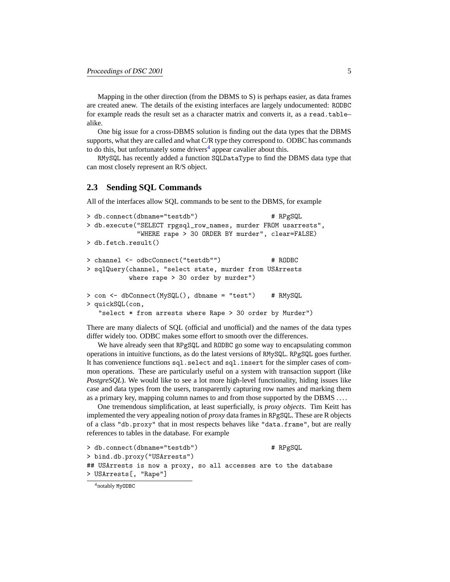Mapping in the other direction (from the DBMS to S) is perhaps easier, as data frames are created anew. The details of the existing interfaces are largely undocumented: RODBC for example reads the result set as a character matrix and converts it, as a read.tablealike.

One big issue for a cross-DBMS solution is finding out the data types that the DBMS supports, what they are called and what C/R type they correspond to. ODBC has commands to do this, but unfortunately some drivers<sup>[4](#page-4-0)</sup> appear cavalier about this.

RMySQL has recently added a function SQLDataType to find the DBMS data type that can most closely represent an R/S object.

## **2.3 Sending SQL Commands**

All of the interfaces allow SQL commands to be sent to the DBMS, for example

```
> db.connect(dbname="testdb") # RPgSQL
> db.execute("SELECT rpgsql_row_names, murder FROM usarrests",
            "WHERE rape > 30 ORDER BY murder", clear=FALSE)
> db.fetch.result()
> channel <- odbcConnect("testdb"") # RODBC
> sqlQuery(channel, "select state, murder from USArrests
          where rape > 30 order by murder")
> con <- dbConnect(MySQL(), dbname = "test") # RMySQL
> quickSQL(con,
  "select * from arrests where Rape > 30 order by Murder")
```
There are many dialects of SQL (official and unofficial) and the names of the data types differ widely too. ODBC makes some effort to smooth over the differences.

We have already seen that RPgSQL and RODBC go some way to encapsulating common operations in intuitive functions, as do the latest versions of RMySQL. RPgSQL goes further. It has convenience functions sql.select and sql.insert for the simpler cases of common operations. These are particularly useful on a system with transaction support (like *PostgreSQL*). We would like to see a lot more high-level functionality, hiding issues like case and data types from the users, transparently capturing row names and marking them as a primary key, mapping column names to and from those supported by the DBMS ....

One tremendous simplification, at least superficially, is *proxy objects*. Tim Keitt has implemented the very appealing notion of *proxy* data frames in RPgSQL. These are R objects of a class "db.proxy" that in most respects behaves like "data.frame", but are really references to tables in the database. For example

```
> db.connect(dbname="testdb") # RPgSQL
> bind.db.proxy("USArrests")
## USArrests is now a proxy, so all accesses are to the database
> USArrests[, "Rape"]
```
<span id="page-4-0"></span><sup>4</sup>notably MyODBC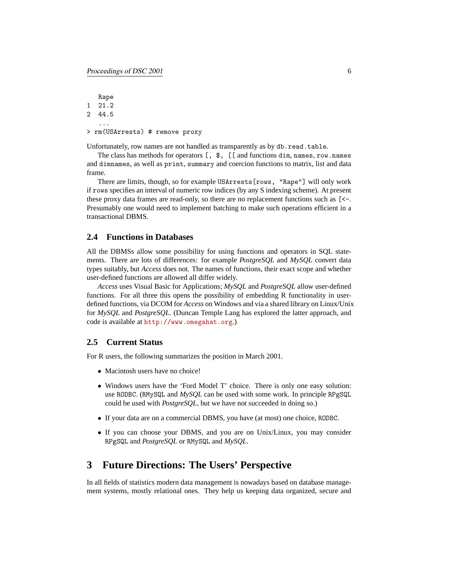Rape 1 21.2 2 44.5 ... > rm(USArrests) # remove proxy

Unfortunately, row names are not handled as transparently as by db.read.table.

The class has methods for operators [, \$, [[ and functions dim, names, row.names and dimnames, as well as print, summary and coercion functions to matrix, list and data frame.

There are limits, though, so for example USArrests[rows, "Rape"] will only work if rows specifies an interval of numeric row indices (by any S indexing scheme). At present these proxy data frames are read-only, so there are no replacement functions such as [<-. Presumably one would need to implement batching to make such operations efficient in a transactional DBMS.

#### **2.4 Functions in Databases**

All the DBMSs allow some possibility for using functions and operators in SQL statements. There are lots of differences: for example *PostgreSQL* and *MySQL* convert data types suitably, but *Access* does not. The names of functions, their exact scope and whether user-defined functions are allowed all differ widely.

*Access* uses Visual Basic for Applications; *MySQL* and *PostgreSQL* allow user-defined functions. For all three this opens the possibility of embedding R functionality in userdefined functions, via DCOM for *Access* on Windows and via a shared library on Linux/Unix for *MySQL* and *PostgreSQL*. (Duncan Temple Lang has explored the latter approach, and code is available at <http://www.omegahat.org>.)

### **2.5 Current Status**

For R users, the following summarizes the position in March 2001.

- Macintosh users have no choice!
- Windows users have the 'Ford Model T' choice. There is only one easy solution: use RODBC. (RMySQL and *MySQL* can be used with some work. In principle RPgSQL could be used with *PostgreSQL*, but we have not succeeded in doing so.)
- If your data are on a commercial DBMS, you have (at most) one choice, RODBC.
- If you can choose your DBMS, and you are on Unix/Linux, you may consider RPgSQL and *PostgreSQL* or RMySQL and *MySQL*.

## <span id="page-5-0"></span>**3 Future Directions: The Users' Perspective**

In all fields of statistics modern data management is nowadays based on database management systems, mostly relational ones. They help us keeping data organized, secure and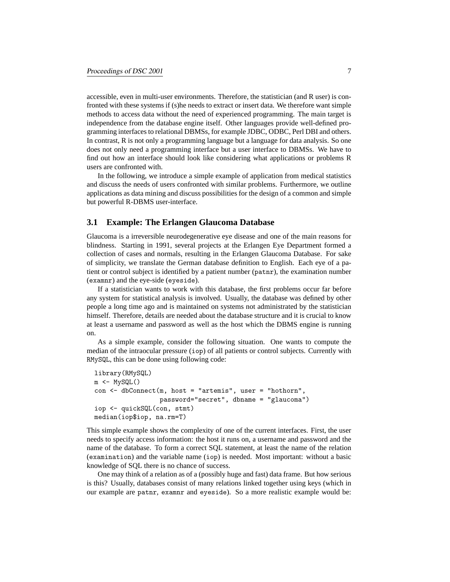accessible, even in multi-user environments. Therefore, the statistician (and R user) is confronted with these systems if (s)he needs to extract or insert data. We therefore want simple methods to access data without the need of experienced programming. The main target is independence from the database engine itself. Other languages provide well-defined programming interfaces to relational DBMSs, for example JDBC, ODBC, Perl DBI and others. In contrast, R is not only a programming language but a language for data analysis. So one does not only need a programming interface but a user interface to DBMSs. We have to find out how an interface should look like considering what applications or problems R users are confronted with.

In the following, we introduce a simple example of application from medical statistics and discuss the needs of users confronted with similar problems. Furthermore, we outline applications as data mining and discuss possibilities for the design of a common and simple but powerful R-DBMS user-interface.

### **3.1 Example: The Erlangen Glaucoma Database**

Glaucoma is a irreversible neurodegenerative eye disease and one of the main reasons for blindness. Starting in 1991, several projects at the Erlangen Eye Department formed a collection of cases and normals, resulting in the Erlangen Glaucoma Database. For sake of simplicity, we translate the German database definition to English. Each eye of a patient or control subject is identified by a patient number (patnr), the examination number (examnr) and the eye-side (eyeside).

If a statistician wants to work with this database, the first problems occur far before any system for statistical analysis is involved. Usually, the database was defined by other people a long time ago and is maintained on systems not administrated by the statistician himself. Therefore, details are needed about the database structure and it is crucial to know at least a username and password as well as the host which the DBMS engine is running on.

As a simple example, consider the following situation. One wants to compute the median of the intraocular pressure (iop) of all patients or control subjects. Currently with RMySQL, this can be done using following code:

```
library(RMySQL)
m \leftarrow MySQL()con <- dbConnect(m, host = "artemis", user = "hothorn",
                  password="secret", dbname = "glaucoma")
iop <- quickSQL(con, stmt)
median(iop$iop, na.rm=T)
```
This simple example shows the complexity of one of the current interfaces. First, the user needs to specify access information: the host it runs on, a username and password and the name of the database. To form a correct SQL statement, at least the name of the relation (examination) and the variable name (iop) is needed. Most important: without a basic knowledge of SQL there is no chance of success.

One may think of a relation as of a (possibly huge and fast) data frame. But how serious is this? Usually, databases consist of many relations linked together using keys (which in our example are patnr, examnr and eyeside). So a more realistic example would be: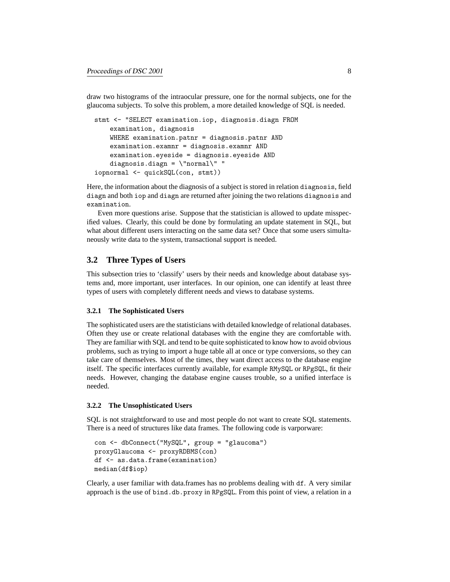draw two histograms of the intraocular pressure, one for the normal subjects, one for the glaucoma subjects. To solve this problem, a more detailed knowledge of SQL is needed.

```
stmt <- "SELECT examination.iop, diagnosis.diagn FROM
   examination, diagnosis
   WHERE examination.patnr = diagnosis.patnr AND
   examination.examnr = diagnosis.examnr AND
   examination.eyeside = diagnosis.eyeside AND
   diagnosis.diagn = \"normal\" "
iopnormal <- quickSQL(con, stmt))
```
Here, the information about the diagnosis of a subject is stored in relation diagnosis, field diagn and both iop and diagn are returned after joining the two relations diagnosis and examination.

Even more questions arise. Suppose that the statistician is allowed to update misspecified values. Clearly, this could be done by formulating an update statement in SQL, but what about different users interacting on the same data set? Once that some users simultaneously write data to the system, transactional support is needed.

## **3.2 Three Types of Users**

This subsection tries to 'classify' users by their needs and knowledge about database systems and, more important, user interfaces. In our opinion, one can identify at least three types of users with completely different needs and views to database systems.

#### **3.2.1 The Sophisticated Users**

The sophisticated users are the statisticians with detailed knowledge of relational databases. Often they use or create relational databases with the engine they are comfortable with. They are familiar with SQL and tend to be quite sophisticated to know how to avoid obvious problems, such as trying to import a huge table all at once or type conversions, so they can take care of themselves. Most of the times, they want direct access to the database engine itself. The specific interfaces currently available, for example RMySQL or RPgSQL, fit their needs. However, changing the database engine causes trouble, so a unified interface is needed.

#### **3.2.2 The Unsophisticated Users**

SQL is not straightforward to use and most people do not want to create SQL statements. There is a need of structures like data frames. The following code is varporware:

```
con <- dbConnect("MySQL", group = "glaucoma")
proxyGlaucoma <- proxyRDBMS(con)
df <- as.data.frame(examination)
median(df$iop)
```
Clearly, a user familiar with data.frames has no problems dealing with df. A very similar approach is the use of bind.db.proxy in RPgSQL. From this point of view, a relation in a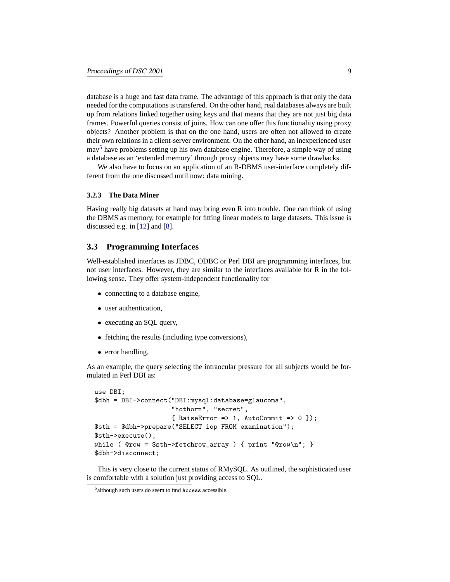database is a huge and fast data frame. The advantage of this approach is that only the data needed for the computations is transfered. On the other hand, real databases always are built up from relations linked together using keys and that means that they are not just big data frames. Powerful queries consist of joins. How can one offer this functionality using proxy objects? Another problem is that on the one hand, users are often not allowed to create their own relations in a client-server environment. On the other hand, an inexperienced user  $may<sup>5</sup>$  $may<sup>5</sup>$  $may<sup>5</sup>$  have problems setting up his own database engine. Therefore, a simple way of using a database as an 'extended memory' through proxy objects may have some drawbacks.

We also have to focus on an application of an R-DBMS user-interface completely different from the one discussed until now: data mining.

#### **3.2.3 The Data Miner**

Having really big datasets at hand may bring even R into trouble. One can think of using the DBMS as memory, for example for fitting linear models to large datasets. This issue is discussed e.g. in  $[12]$  $[12]$  and  $[8]$  $[8]$ .

## **3.3 Programming Interfaces**

Well-established interfaces as JDBC, ODBC or Perl DBI are programming interfaces, but not user interfaces. However, they are similar to the interfaces available for R in the following sense. They offer system-independent functionality for

- connecting to a database engine,
- user authentication,
- executing an SQL query,
- fetching the results (including type conversions),
- error handling.

As an example, the query selecting the intraocular pressure for all subjects would be formulated in Perl DBI as:

```
use DBI;
$dbh = DBI->connect("DBI:mysql:database=glaucoma",
                    "hothorn", "secret",
                    { RaiseError => 1, AutoCommit => 0 });
$sth = $dbh->prepare("SELECT iop FROM examination");
$sth->execute();
while ( @row = $sth-> fetchrow_array ) { print "@row\n'': }
$dbh->disconnect;
```
This is very close to the current status of RMySQL. As outlined, the sophisticated user is comfortable with a solution just providing access to SQL.

<span id="page-8-0"></span><sup>5</sup> although such users do seem to find Access accessible.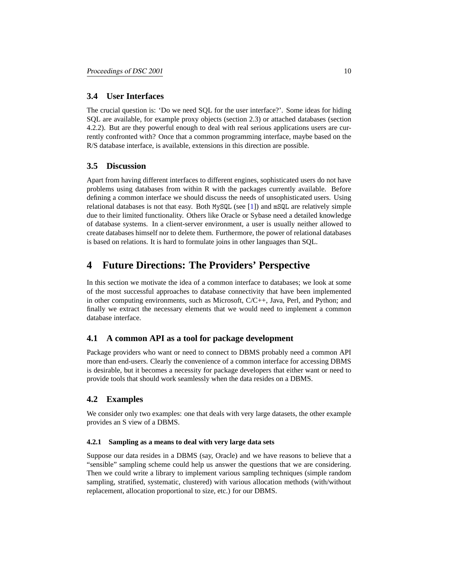## **3.4 User Interfaces**

The crucial question is: 'Do we need SQL for the user interface?'. Some ideas for hiding SQL are available, for example proxy objects (section 2.3) or attached databases (section 4.2.2). But are they powerful enough to deal with real serious applications users are currently confronted with? Once that a common programming interface, maybe based on the R/S database interface, is available, extensions in this direction are possible.

## **3.5 Discussion**

Apart from having different interfaces to different engines, sophisticated users do not have problems using databases from within R with the packages currently available. Before defining a common interface we should discuss the needs of unsophisticated users. Using relational databases is not that easy. Both MySQL (see [[1\]](#page-17-10)) and mSQL are relatively simple due to their limited functionality. Others like Oracle or Sybase need a detailed knowledge of database systems. In a client-server environment, a user is usually neither allowed to create databases himself nor to delete them. Furthermore, the power of relational databases is based on relations. It is hard to formulate joins in other languages than SQL.

## <span id="page-9-0"></span>**4 Future Directions: The Providers' Perspective**

In this section we motivate the idea of a common interface to databases; we look at some of the most successful approaches to database connectivity that have been implemented in other computing environments, such as Microsoft, C/C++, Java, Perl, and Python; and finally we extract the necessary elements that we would need to implement a common database interface.

## **4.1 A common API as a tool for package development**

Package providers who want or need to connect to DBMS probably need a common API more than end-users. Clearly the convenience of a common interface for accessing DBMS is desirable, but it becomes a necessity for package developers that either want or need to provide tools that should work seamlessly when the data resides on a DBMS.

## **4.2 Examples**

We consider only two examples: one that deals with very large datasets, the other example provides an S view of a DBMS.

#### **4.2.1 Sampling as a means to deal with very large data sets**

Suppose our data resides in a DBMS (say, Oracle) and we have reasons to believe that a "sensible" sampling scheme could help us answer the questions that we are considering. Then we could write a library to implement various sampling techniques (simple random sampling, stratified, systematic, clustered) with various allocation methods (with/without replacement, allocation proportional to size, etc.) for our DBMS.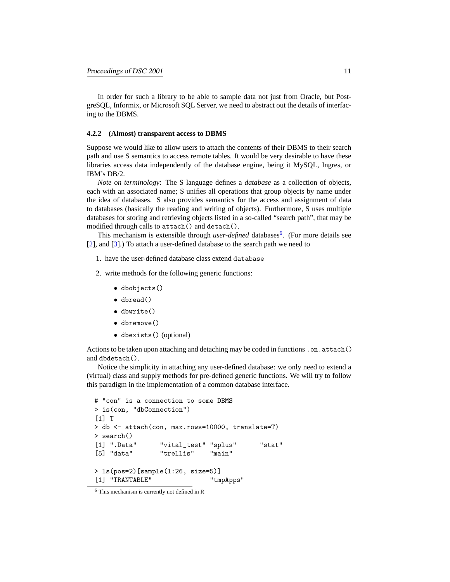In order for such a library to be able to sample data not just from Oracle, but PostgreSQL, Informix, or Microsoft SQL Server, we need to abstract out the details of interfacing to the DBMS.

#### **4.2.2 (Almost) transparent access to DBMS**

Suppose we would like to allow users to attach the contents of their DBMS to their search path and use S semantics to access remote tables. It would be very desirable to have these libraries access data independently of the database engine, being it MySQL, Ingres, or IBM's DB/2.

*Note on terminology*: The S language defines a *database* as a collection of objects, each with an associated name; S unifies all operations that group objects by name under the idea of databases. S also provides semantics for the access and assignment of data to databases (basically the reading and writing of objects). Furthermore, S uses multiple databases for storing and retrieving objects listed in a so-called "search path", that may be modified through calls to attach() and detach().

This mechanism is extensible through *user-defined* databases<sup>[6](#page-10-0)</sup>. (For more details see [\[2](#page-17-11)], and [[3\]](#page-17-12).) To attach a user-defined database to the search path we need to

- 1. have the user-defined database class extend database
- 2. write methods for the following generic functions:
	- dbobjects()
	- dbread()
	- dbwrite()
	- dbremove()
	- dbexists() (optional)

Actions to be taken upon attaching and detaching may be coded in functions .on.attach() and dbdetach().

Notice the simplicity in attaching any user-defined database: we only need to extend a (virtual) class and supply methods for pre-defined generic functions. We will try to follow this paradigm in the implementation of a common database interface.

```
# "con" is a connection to some DBMS
> is(con, "dbConnection")
[1] T
> db <- attach(con, max.rows=10000, translate=T)
> search()
[1] ".Data" "vital_test" "splus" "stat"
[5] "data" "trellis" "main"
> ls(pos=2)[sample(1:26, size=5)]
[1] "TRANTABLE" "tmpApps"
```
<span id="page-10-0"></span><sup>6</sup> This mechanism is currently not defined in R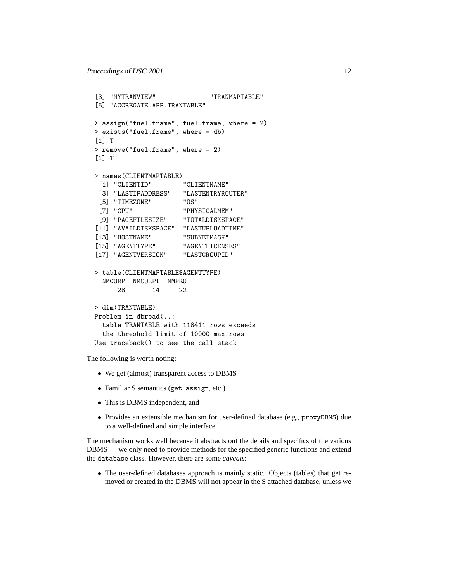```
[3] "MYTRANVIEW" "TRANMAPTABLE"
[5] "AGGREGATE.APP.TRANTABLE"
> assign("fuel.frame", fuel.frame, where = 2)
> exists("fuel.frame", where = db)
[1] T
> remove("fuel.frame", where = 2)
[1] T
> names(CLIENTMAPTABLE)
[1] "CLIENTID" "CLIENTNAME"
 [3] "LASTIPADDRESS" "LASTENTRYROUTER"
 [5] "TIMEZONE" "OS"
[7] "CPU" "PHYSICALMEM"
[9] "PAGEFILESIZE" "TOTALDISKSPACE"
[11] "AVAILDISKSPACE" "LASTUPLOADTIME"
[13] "HOSTNAME" "SUBNETMASK"
[15] "AGENTTYPE" "AGENTLICENSES"
[17] "AGENTVERSION" "LASTGROUPID"
> table(CLIENTMAPTABLE$AGENTTYPE)
 NMCORP NMCORPI NMPRO
     28 14 22
> dim(TRANTABLE)
Problem in dbread(..:
 table TRANTABLE with 118411 rows exceeds
 the threshold limit of 10000 max.rows
Use traceback() to see the call stack
```
The following is worth noting:

- We get (almost) transparent access to DBMS
- Familiar S semantics (get, assign, etc.)
- This is DBMS independent, and
- Provides an extensible mechanism for user-defined database (e.g., proxyDBMS) due to a well-defined and simple interface.

The mechanism works well because it abstracts out the details and specifics of the various DBMS — we only need to provide methods for the specified generic functions and extend the database class. However, there are some *caveats*:

• The user-defined databases approach is mainly static. Objects (tables) that get removed or created in the DBMS will not appear in the S attached database, unless we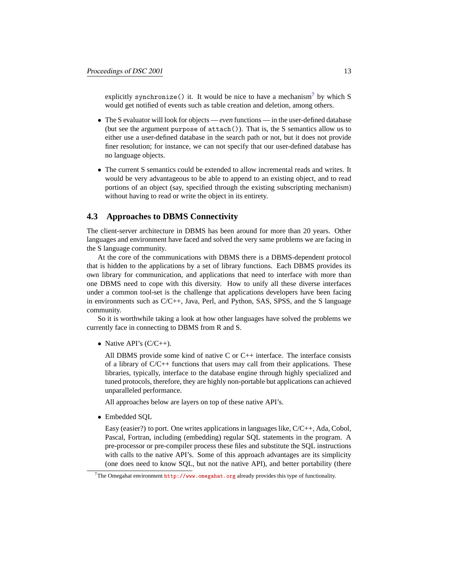explicitly synchronize() it. It would be nice to have a mechanism<sup>[7](#page-12-0)</sup> by which S would get notified of events such as table creation and deletion, among others.

- The S evaluator will look for objects *even* functions in the user-defined database (but see the argument purpose of attach()). That is, the S semantics allow us to either use a user-defined database in the search path or not, but it does not provide finer resolution; for instance, we can not specify that our user-defined database has no language objects.
- The current S semantics could be extended to allow incremental reads and writes. It would be very advantageous to be able to append to an existing object, and to read portions of an object (say, specified through the existing subscripting mechanism) without having to read or write the object in its entirety.

## **4.3 Approaches to DBMS Connectivity**

The client-server architecture in DBMS has been around for more than 20 years. Other languages and environment have faced and solved the very same problems we are facing in the S language community.

At the core of the communications with DBMS there is a DBMS-dependent protocol that is hidden to the applications by a set of library functions. Each DBMS provides its own library for communication, and applications that need to interface with more than one DBMS need to cope with this diversity. How to unify all these diverse interfaces under a common tool-set is the challenge that applications developers have been facing in environments such as C/C++, Java, Perl, and Python, SAS, SPSS, and the S language community.

So it is worthwhile taking a look at how other languages have solved the problems we currently face in connecting to DBMS from R and S.

• Native API's  $(C/C++)$ .

All DBMS provide some kind of native C or C++ interface. The interface consists of a library of C/C++ functions that users may call from their applications. These libraries, typically, interface to the database engine through highly specialized and tuned protocols, therefore, they are highly non-portable but applications can achieved unparalleled performance.

All approaches below are layers on top of these native API's.

• Embedded SQL

Easy (easier?) to port. One writes applications in languages like, C/C++, Ada, Cobol, Pascal, Fortran, including (embedding) regular SQL statements in the program. A pre-processor or pre-compiler process these files and substitute the SQL instructions with calls to the native API's. Some of this approach advantages are its simplicity (one does need to know SQL, but not the native API), and better portability (there

<span id="page-12-0"></span><sup>&</sup>lt;sup>7</sup>The Omegahat environment  $http://www.omegahat.org$  already provides this type of functionality.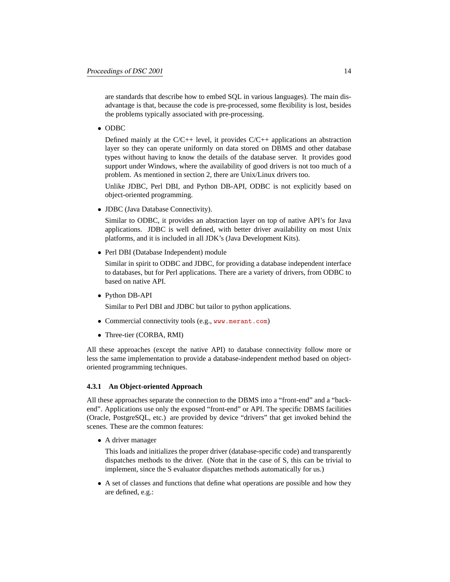are standards that describe how to embed SQL in various languages). The main disadvantage is that, because the code is pre-processed, some flexibility is lost, besides the problems typically associated with pre-processing.

• ODBC

Defined mainly at the  $C/C++$  level, it provides  $C/C++$  applications an abstraction layer so they can operate uniformly on data stored on DBMS and other database types without having to know the details of the database server. It provides good support under Windows, where the availability of good drivers is not too much of a problem. As mentioned in section 2, there are Unix/Linux drivers too.

Unlike JDBC, Perl DBI, and Python DB-API, ODBC is not explicitly based on object-oriented programming.

• JDBC (Java Database Connectivity).

Similar to ODBC, it provides an abstraction layer on top of native API's for Java applications. JDBC is well defined, with better driver availability on most Unix platforms, and it is included in all JDK's (Java Development Kits).

• Perl DBI (Database Independent) module

Similar in spirit to ODBC and JDBC, for providing a database independent interface to databases, but for Perl applications. There are a variety of drivers, from ODBC to based on native API.

• Python DB-API

Similar to Perl DBI and JDBC but tailor to python applications.

- Commercial connectivity tools (e.g., <www.merant.com>)
- Three-tier (CORBA, RMI)

All these approaches (except the native API) to database connectivity follow more or less the same implementation to provide a database-independent method based on objectoriented programming techniques.

#### **4.3.1 An Object-oriented Approach**

All these approaches separate the connection to the DBMS into a "front-end" and a "backend". Applications use only the exposed "front-end" or API. The specific DBMS facilities (Oracle, PostgreSQL, etc.) are provided by device "drivers" that get invoked behind the scenes. These are the common features:

• A driver manager

This loads and initializes the proper driver (database-specific code) and transparently dispatches methods to the driver. (Note that in the case of S, this can be trivial to implement, since the S evaluator dispatches methods automatically for us.)

• A set of classes and functions that define what operations are possible and how they are defined, e.g.: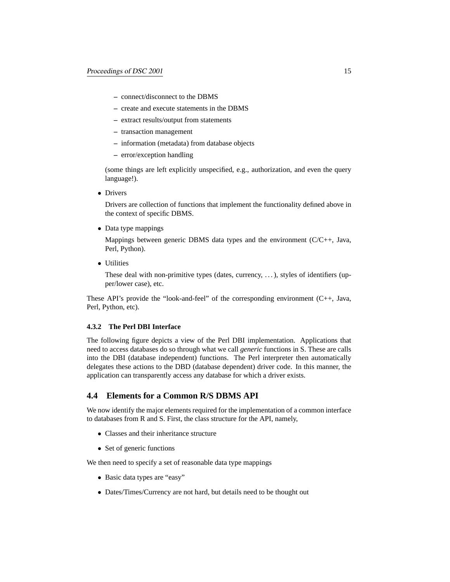- **–** connect/disconnect to the DBMS
- **–** create and execute statements in the DBMS
- **–** extract results/output from statements
- **–** transaction management
- **–** information (metadata) from database objects
- **–** error/exception handling

(some things are left explicitly unspecified, e.g., authorization, and even the query language!).

• Drivers

Drivers are collection of functions that implement the functionality defined above in the context of specific DBMS.

• Data type mappings

Mappings between generic DBMS data types and the environment  $(C/C_{++}, \text{Java}, \text{Mean})$ Perl, Python).

• Utilities

These deal with non-primitive types (dates, currency, ...), styles of identifiers (upper/lower case), etc.

These API's provide the "look-and-feel" of the corresponding environment (C++, Java, Perl, Python, etc).

### **4.3.2 The Perl DBI Interface**

The following figure depicts a view of the Perl DBI implementation. Applications that need to access databases do so through what we call *generic* functions in S. These are calls into the DBI (database independent) functions. The Perl interpreter then automatically delegates these actions to the DBD (database dependent) driver code. In this manner, the application can transparently access any database for which a driver exists.

## **4.4 Elements for a Common R/S DBMS API**

We now identify the major elements required for the implementation of a common interface to databases from R and S. First, the class structure for the API, namely,

- Classes and their inheritance structure
- Set of generic functions

We then need to specify a set of reasonable data type mappings

- Basic data types are "easy"
- Dates/Times/Currency are not hard, but details need to be thought out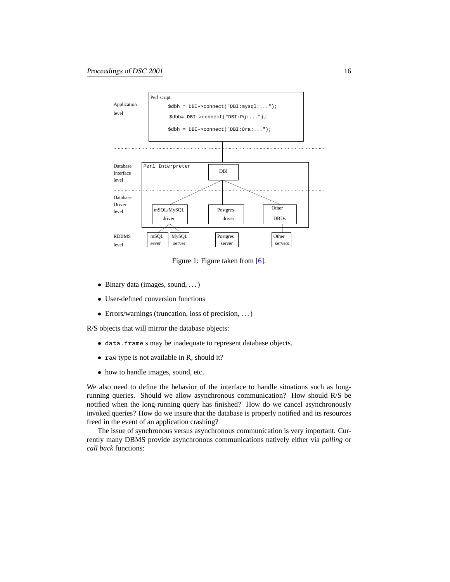

Figure 1: Figure taken from [\[6](#page-17-13)].

- Binary data (images, sound, ...)
- User-defined conversion functions
- Errors/warnings (truncation, loss of precision, ...)

R/S objects that will mirror the database objects:

- data.frame s may be inadequate to represent database objects.
- raw type is not available in R, should it?
- how to handle images, sound, etc.

We also need to define the behavior of the interface to handle situations such as longrunning queries. Should we allow asynchronous communication? How should R/S be notified when the long-running query has finished? How do we cancel asynchronously invoked queries? How do we insure that the database is properly notified and its resources freed in the event of an application crashing?

The issue of synchronous versus asynchronous communication is very important. Currently many DBMS provide asynchronous communications natively either via *polling* or *call back* functions: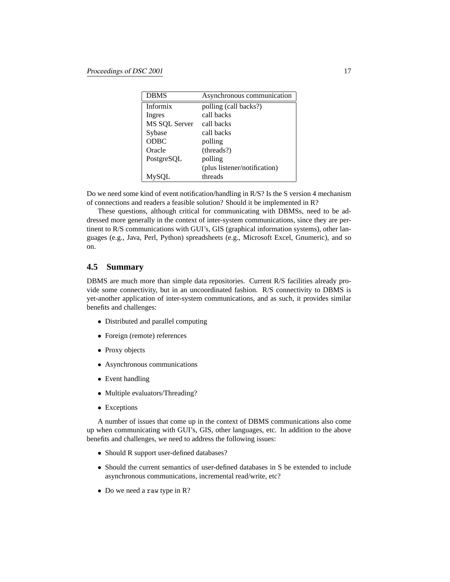| <b>DBMS</b>   | Asynchronous communication   |
|---------------|------------------------------|
| Informix      | polling (call backs?)        |
| Ingres        | call backs                   |
| MS SQL Server | call backs                   |
| Sybase        | call backs                   |
| <b>ODBC</b>   | polling                      |
| Oracle        | (threads?)                   |
| PostgreSOL    | polling                      |
|               | (plus listener/notification) |
| MySOL         | threads                      |

Do we need some kind of event notification/handling in R/S? Is the S version 4 mechanism of connections and readers a feasible solution? Should it be implemented in R?

These questions, although critical for communicating with DBMSs, need to be addressed more generally in the context of inter-system communications, since they are pertinent to R/S communications with GUI's, GIS (graphical information systems), other languages (e.g., Java, Perl, Python) spreadsheets (e.g., Microsoft Excel, Gnumeric), and so on.

## **4.5 Summary**

DBMS are much more than simple data repositories. Current R/S facilities already provide some connectivity, but in an uncoordinated fashion. R/S connectivity to DBMS is yet-another application of inter-system communications, and as such, it provides similar benefits and challenges:

- Distributed and parallel computing
- Foreign (remote) references
- Proxy objects
- Asynchronous communications
- Event handling
- Multiple evaluators/Threading?
- Exceptions

A number of issues that come up in the context of DBMS communications also come up when communicating with GUI's, GIS, other languages, etc. In addition to the above benefits and challenges, we need to address the following issues:

- Should R support user-defined databases?
- Should the current semantics of user-defined databases in S be extended to include asynchronous communications, incremental read/write, etc?
- Do we need a raw type in R?